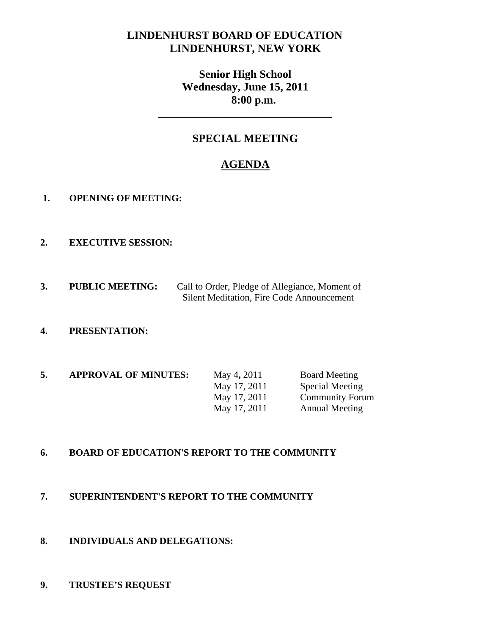# **LINDENHURST BOARD OF EDUCATION LINDENHURST, NEW YORK**

**Senior High School Wednesday, June 15, 2011 8:00 p.m.** 

## **SPECIAL MEETING**

**\_\_\_\_\_\_\_\_\_\_\_\_\_\_\_\_\_\_\_\_\_\_\_\_\_\_\_\_\_\_\_** 

# **AGENDA**

- **1. OPENING OF MEETING:**
- **2. EXECUTIVE SESSION:**
- **3. PUBLIC MEETING:** Call to Order, Pledge of Allegiance, Moment of Silent Meditation, Fire Code Announcement

### **4. PRESENTATION:**

| 5. | <b>APPROVAL OF MINUTES:</b> | May 4, 2011  | <b>Board Meeting</b>   |
|----|-----------------------------|--------------|------------------------|
|    |                             | May 17, 2011 | <b>Special Meeting</b> |
|    |                             | May 17, 2011 | <b>Community Forum</b> |
|    |                             | May 17, 2011 | <b>Annual Meeting</b>  |

#### **6. BOARD OF EDUCATION'S REPORT TO THE COMMUNITY**

#### **7. SUPERINTENDENT'S REPORT TO THE COMMUNITY**

**8. INDIVIDUALS AND DELEGATIONS:** 

#### **9. TRUSTEE'S REQUEST**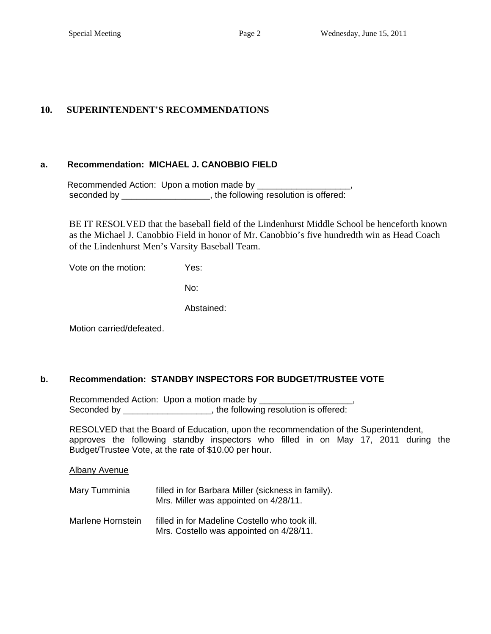#### **10. SUPERINTENDENT'S RECOMMENDATIONS**

#### **a. Recommendation: MICHAEL J. CANOBBIO FIELD**

Recommended Action: Upon a motion made by \_\_\_\_\_\_\_ seconded by \_\_\_\_\_\_\_\_\_\_\_\_\_\_\_\_\_\_, the following resolution is offered:

BE IT RESOLVED that the baseball field of the Lindenhurst Middle School be henceforth known as the Michael J. Canobbio Field in honor of Mr. Canobbio's five hundredth win as Head Coach of the Lindenhurst Men's Varsity Baseball Team.

Vote on the motion: Yes:

No:

Abstained:

Motion carried/defeated.

#### **b. Recommendation: STANDBY INSPECTORS FOR BUDGET/TRUSTEE VOTE**

 Recommended Action: Upon a motion made by \_\_\_\_\_\_\_\_\_\_\_\_\_\_\_\_\_\_\_, Seconded by \_\_\_\_\_\_\_\_\_\_\_\_\_\_\_\_\_\_, the following resolution is offered:

 RESOLVED that the Board of Education, upon the recommendation of the Superintendent, approves the following standby inspectors who filled in on May 17, 2011 during the Budget/Trustee Vote, at the rate of \$10.00 per hour.

Albany Avenue

| Mary Tumminia     | filled in for Barbara Miller (sickness in family).<br>Mrs. Miller was appointed on 4/28/11. |  |
|-------------------|---------------------------------------------------------------------------------------------|--|
| Marlene Hornstein | filled in for Madeline Costello who took ill.<br>Mrs. Costello was appointed on 4/28/11.    |  |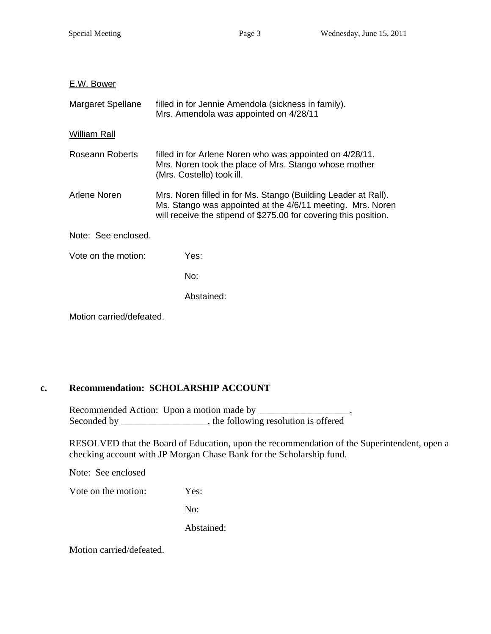#### E.W. Bower

| Margaret Spellane        | filled in for Jennie Amendola (sickness in family).<br>Mrs. Amendola was appointed on 4/28/11                                                                                                    |  |
|--------------------------|--------------------------------------------------------------------------------------------------------------------------------------------------------------------------------------------------|--|
| William Rall             |                                                                                                                                                                                                  |  |
| Roseann Roberts          | filled in for Arlene Noren who was appointed on 4/28/11.<br>Mrs. Noren took the place of Mrs. Stango whose mother<br>(Mrs. Costello) took ill.                                                   |  |
| Arlene Noren             | Mrs. Noren filled in for Ms. Stango (Building Leader at Rall).<br>Ms. Stango was appointed at the 4/6/11 meeting. Mrs. Noren<br>will receive the stipend of \$275.00 for covering this position. |  |
| Note: See enclosed.      |                                                                                                                                                                                                  |  |
| Vote on the motion:      | Yes:                                                                                                                                                                                             |  |
|                          | No:                                                                                                                                                                                              |  |
|                          | Abstained:                                                                                                                                                                                       |  |
| Motion carried/defeated. |                                                                                                                                                                                                  |  |

## **c. Recommendation: SCHOLARSHIP ACCOUNT**

Recommended Action: Upon a motion made by \_\_\_\_\_\_\_\_\_\_\_\_\_\_\_\_\_\_\_, Seconded by \_\_\_\_\_\_\_\_\_\_\_\_\_\_\_\_, the following resolution is offered

RESOLVED that the Board of Education, upon the recommendation of the Superintendent, open a checking account with JP Morgan Chase Bank for the Scholarship fund.

Note: See enclosed

Vote on the motion: Yes:

No:

Abstained:

Motion carried/defeated.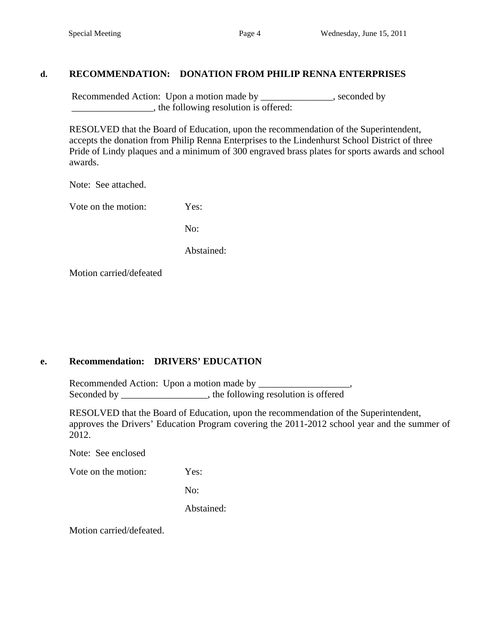#### **d. RECOMMENDATION: DONATION FROM PHILIP RENNA ENTERPRISES**

Recommended Action: Upon a motion made by \_\_\_\_\_\_\_\_\_\_\_\_\_, seconded by \_\_\_\_\_\_\_\_\_\_\_\_\_\_\_\_\_, the following resolution is offered:

 RESOLVED that the Board of Education, upon the recommendation of the Superintendent, accepts the donation from Philip Renna Enterprises to the Lindenhurst School District of three Pride of Lindy plaques and a minimum of 300 engraved brass plates for sports awards and school awards.

Note: See attached.

Vote on the motion: Yes:

No:

Abstained:

Motion carried/defeated

### **e. Recommendation: DRIVERS' EDUCATION**

Recommended Action: Upon a motion made by Seconded by \_\_\_\_\_\_\_\_\_\_\_\_\_\_\_, the following resolution is offered

RESOLVED that the Board of Education, upon the recommendation of the Superintendent, approves the Drivers' Education Program covering the 2011-2012 school year and the summer of 2012.

Note: See enclosed

Vote on the motion: Yes:

No:

Abstained:

Motion carried/defeated.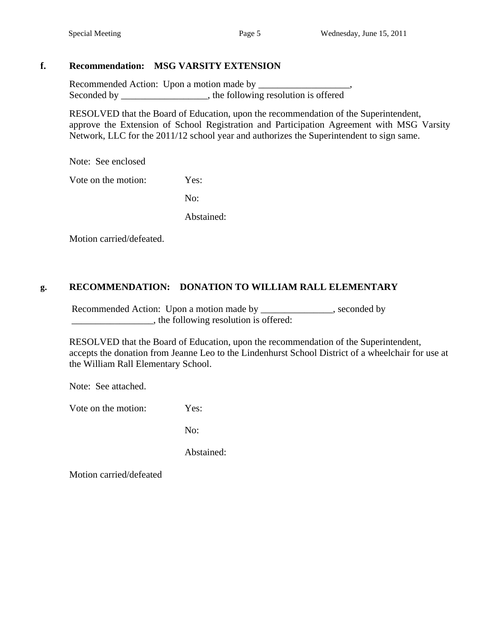#### **f. Recommendation: MSG VARSITY EXTENSION**

 Recommended Action: Upon a motion made by \_\_\_\_\_\_\_\_\_\_\_\_\_\_\_\_\_\_\_, Seconded by \_\_\_\_\_\_\_\_\_\_\_\_\_\_\_, the following resolution is offered

RESOLVED that the Board of Education, upon the recommendation of the Superintendent, approve the Extension of School Registration and Participation Agreement with MSG Varsity Network, LLC for the 2011/12 school year and authorizes the Superintendent to sign same.

Note: See enclosed

Vote on the motion: Yes:

No:

Abstained:

Motion carried/defeated.

## **g. RECOMMENDATION: DONATION TO WILLIAM RALL ELEMENTARY**

Recommended Action: Upon a motion made by \_\_\_\_\_\_\_\_\_\_\_\_, seconded by \_\_\_\_\_\_\_\_\_\_\_\_\_\_\_\_\_, the following resolution is offered:

 RESOLVED that the Board of Education, upon the recommendation of the Superintendent, accepts the donation from Jeanne Leo to the Lindenhurst School District of a wheelchair for use at the William Rall Elementary School.

Note: See attached.

Vote on the motion: Yes:

No:

Abstained:

Motion carried/defeated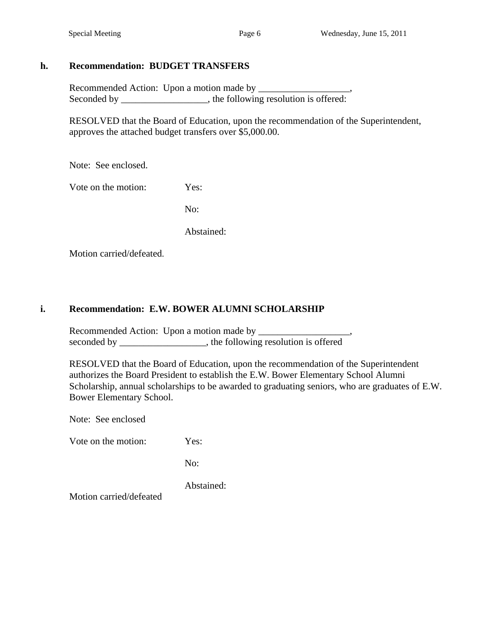### **h. Recommendation: BUDGET TRANSFERS**

 Recommended Action: Upon a motion made by \_\_\_\_\_\_\_\_\_\_\_\_\_\_\_\_\_\_\_, Seconded by \_\_\_\_\_\_\_\_\_\_\_\_\_\_\_, the following resolution is offered:

 RESOLVED that the Board of Education, upon the recommendation of the Superintendent, approves the attached budget transfers over \$5,000.00.

Note: See enclosed.

Vote on the motion: Yes:

No:

Abstained:

Motion carried/defeated.

### **i. Recommendation: E.W. BOWER ALUMNI SCHOLARSHIP**

Recommended Action: Upon a motion made by \_\_\_\_\_\_\_\_\_\_\_\_\_\_\_\_\_\_\_, seconded by \_\_\_\_\_\_\_\_\_\_\_\_\_\_\_\_, the following resolution is offered

RESOLVED that the Board of Education, upon the recommendation of the Superintendent authorizes the Board President to establish the E.W. Bower Elementary School Alumni Scholarship, annual scholarships to be awarded to graduating seniors, who are graduates of E.W. Bower Elementary School.

Note: See enclosed

Vote on the motion: Yes:

No:

Abstained:

Motion carried/defeated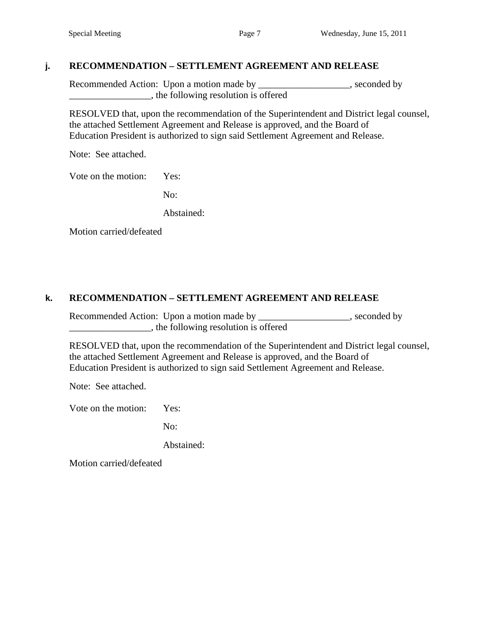### **j. RECOMMENDATION – SETTLEMENT AGREEMENT AND RELEASE**

Recommended Action: Upon a motion made by \_\_\_\_\_\_\_\_\_\_\_\_\_\_\_\_\_\_, seconded by \_\_\_\_\_\_\_\_\_\_\_\_\_\_\_\_\_, the following resolution is offered

 RESOLVED that, upon the recommendation of the Superintendent and District legal counsel, the attached Settlement Agreement and Release is approved, and the Board of Education President is authorized to sign said Settlement Agreement and Release.

Note: See attached.

Vote on the motion: Yes:

No:

Abstained:

Motion carried/defeated

#### **k. RECOMMENDATION – SETTLEMENT AGREEMENT AND RELEASE**

Recommended Action: Upon a motion made by \_\_\_\_\_\_\_\_\_\_\_\_\_\_\_\_\_\_, seconded by \_\_\_\_\_\_\_\_\_\_\_\_\_\_\_\_\_, the following resolution is offered

 RESOLVED that, upon the recommendation of the Superintendent and District legal counsel, the attached Settlement Agreement and Release is approved, and the Board of Education President is authorized to sign said Settlement Agreement and Release.

Note: See attached.

Vote on the motion: Yes:

No:

Abstained:

Motion carried/defeated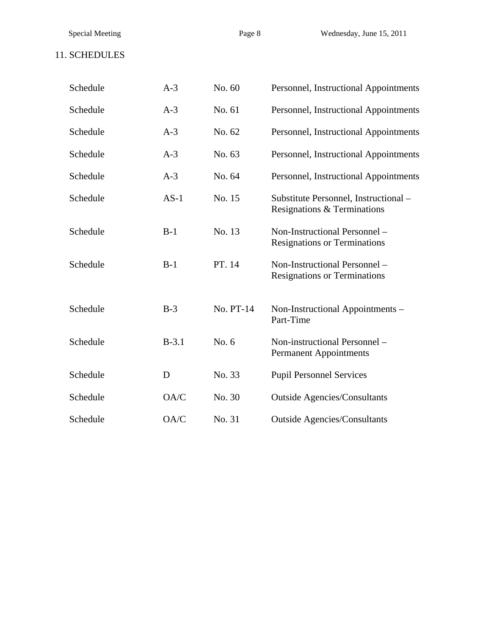| Schedule | $A-3$   | No. 60    | Personnel, Instructional Appointments                                |
|----------|---------|-----------|----------------------------------------------------------------------|
| Schedule | $A-3$   | No. 61    | Personnel, Instructional Appointments                                |
| Schedule | $A-3$   | No. 62    | Personnel, Instructional Appointments                                |
| Schedule | $A-3$   | No. 63    | Personnel, Instructional Appointments                                |
| Schedule | $A-3$   | No. 64    | Personnel, Instructional Appointments                                |
| Schedule | $AS-1$  | No. 15    | Substitute Personnel, Instructional -<br>Resignations & Terminations |
| Schedule | $B-1$   | No. 13    | Non-Instructional Personnel -<br><b>Resignations or Terminations</b> |
| Schedule | $B-1$   | PT. 14    | Non-Instructional Personnel -<br><b>Resignations or Terminations</b> |
| Schedule | $B-3$   | No. PT-14 | Non-Instructional Appointments -<br>Part-Time                        |
| Schedule | $B-3.1$ | No. 6     | Non-instructional Personnel -<br><b>Permanent Appointments</b>       |
| Schedule | D       | No. 33    | <b>Pupil Personnel Services</b>                                      |
| Schedule | OA/C    | No. 30    | <b>Outside Agencies/Consultants</b>                                  |
| Schedule | OA/C    | No. 31    | <b>Outside Agencies/Consultants</b>                                  |

Special Meeting Page 8 Wednesday, June 15, 2011